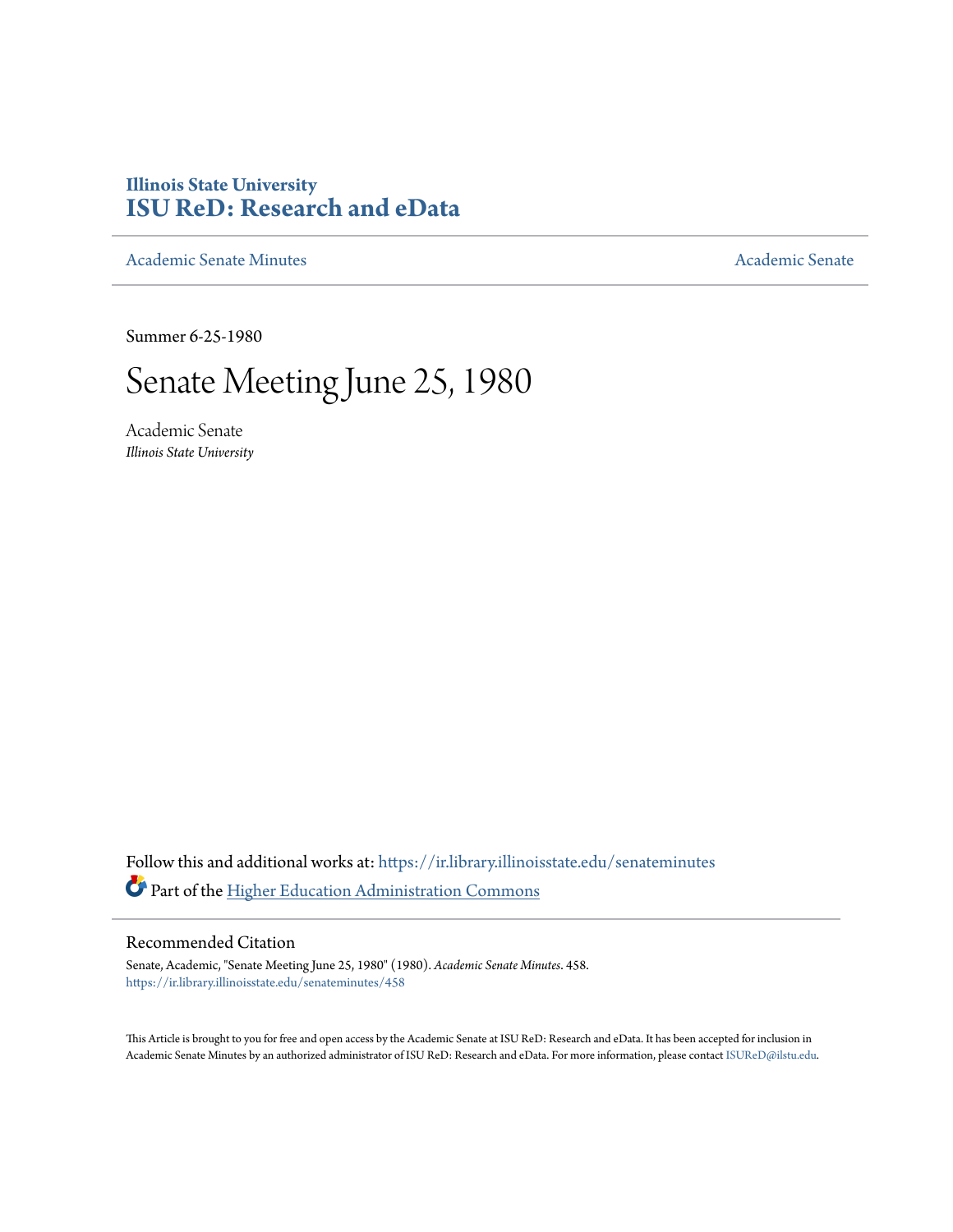### **Illinois State University [ISU ReD: Research and eData](https://ir.library.illinoisstate.edu?utm_source=ir.library.illinoisstate.edu%2Fsenateminutes%2F458&utm_medium=PDF&utm_campaign=PDFCoverPages)**

[Academic Senate Minutes](https://ir.library.illinoisstate.edu/senateminutes?utm_source=ir.library.illinoisstate.edu%2Fsenateminutes%2F458&utm_medium=PDF&utm_campaign=PDFCoverPages) [Academic Senate](https://ir.library.illinoisstate.edu/senate?utm_source=ir.library.illinoisstate.edu%2Fsenateminutes%2F458&utm_medium=PDF&utm_campaign=PDFCoverPages) Academic Senate

Summer 6-25-1980

## Senate Meeting June 25, 1980

Academic Senate *Illinois State University*

Follow this and additional works at: [https://ir.library.illinoisstate.edu/senateminutes](https://ir.library.illinoisstate.edu/senateminutes?utm_source=ir.library.illinoisstate.edu%2Fsenateminutes%2F458&utm_medium=PDF&utm_campaign=PDFCoverPages) Part of the [Higher Education Administration Commons](http://network.bepress.com/hgg/discipline/791?utm_source=ir.library.illinoisstate.edu%2Fsenateminutes%2F458&utm_medium=PDF&utm_campaign=PDFCoverPages)

#### Recommended Citation

Senate, Academic, "Senate Meeting June 25, 1980" (1980). *Academic Senate Minutes*. 458. [https://ir.library.illinoisstate.edu/senateminutes/458](https://ir.library.illinoisstate.edu/senateminutes/458?utm_source=ir.library.illinoisstate.edu%2Fsenateminutes%2F458&utm_medium=PDF&utm_campaign=PDFCoverPages)

This Article is brought to you for free and open access by the Academic Senate at ISU ReD: Research and eData. It has been accepted for inclusion in Academic Senate Minutes by an authorized administrator of ISU ReD: Research and eData. For more information, please contact [ISUReD@ilstu.edu.](mailto:ISUReD@ilstu.edu)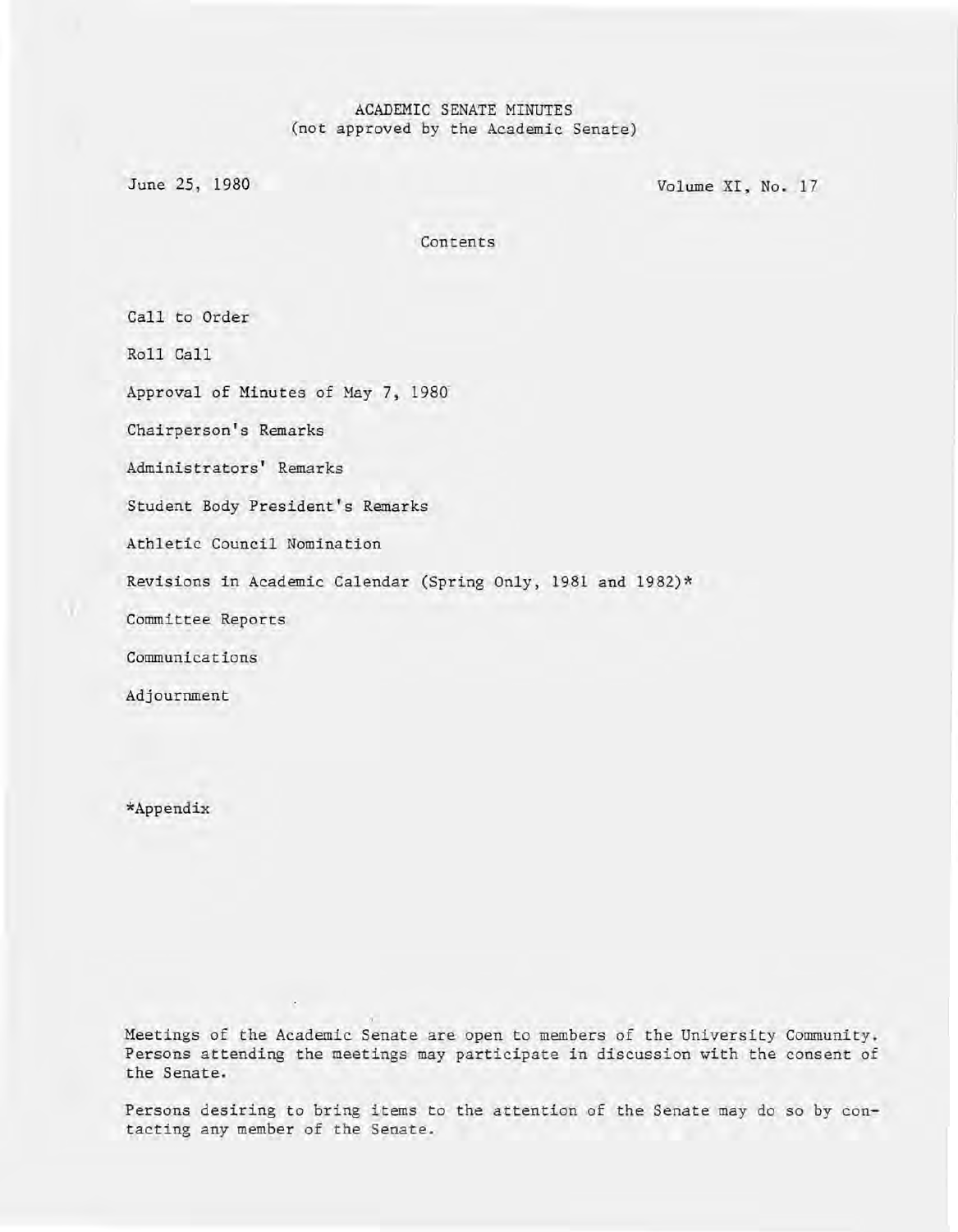#### ACADEMIC SENATE MINUTES (not approved by the Academic Senate)

June 25, 1980 Volume XI, No. 17

Contents

Call to Order

Roll Call

Approval of Minutes of May 7, 1980'

Chairperson's Remarks

Administrators' Remarks

Student Body President's Remarks

Athletic Council Nomination

Revisions in Academic Calendar (Spring Only, 1981 and 1982)\*

Committee Reports

Communications

Adjournment

\*Appendix

Meetings of the Academic Senate are open to members of the University Community. Persons attending the meetings may participate in discussion with the consent of the Senate.

Persons desiring to bring items to the attention of the Senate may do so by contacting any member of the Senate.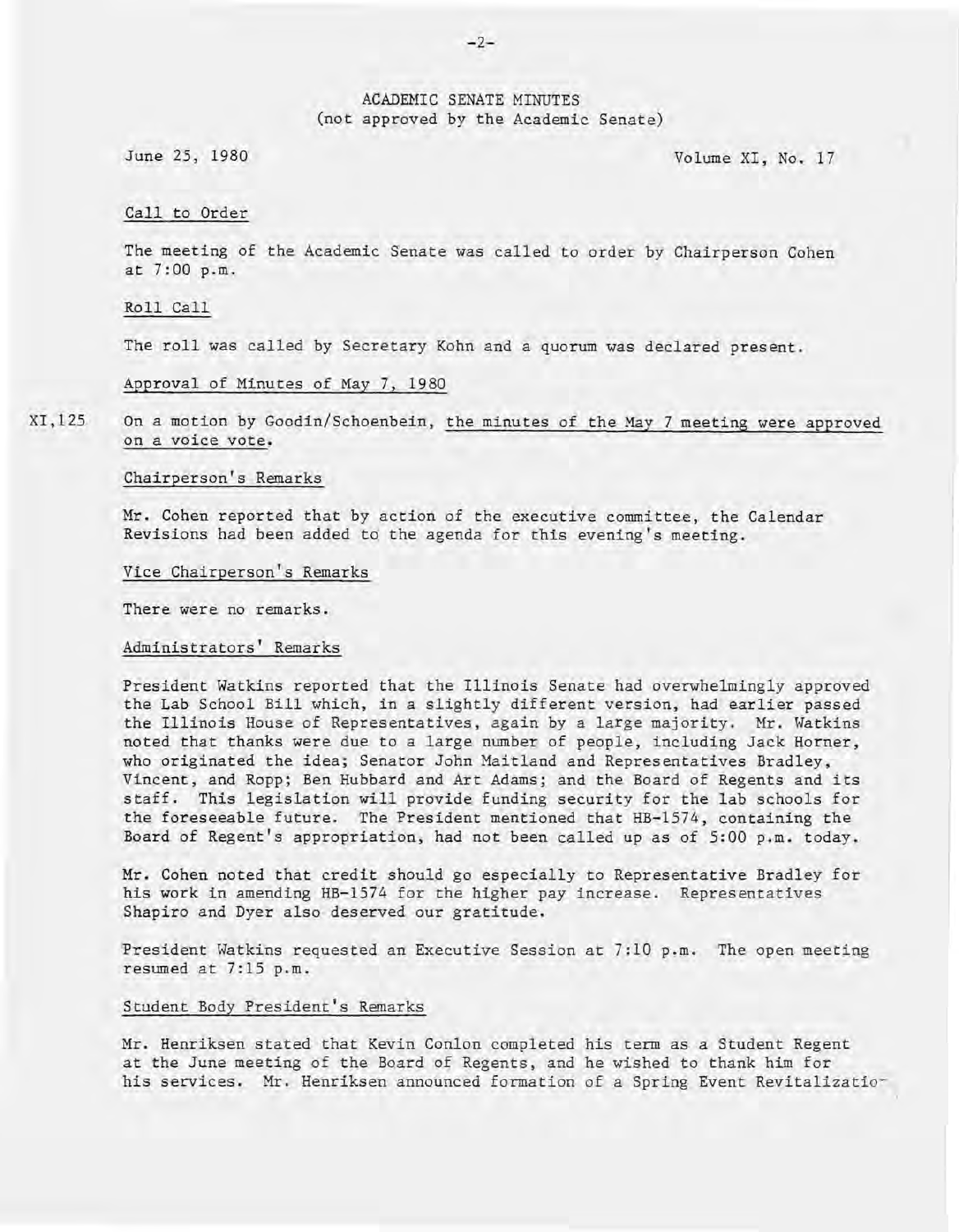#### ACADEMIC SENATE MINUTES (not approved by the Academic Senate)

June 25, 1980 Volume XI, No. 17

#### Call to Order

The meeting of the Academic Senate was called to order by Chairperson Cohen at 7:00 p.m.

Roll Call

The roll was called by Secretary Kohn and a quorum was declared present.

Approval of Minutes of May 7, 1980

XI,125 On a motion by Goodin/Schoenbein, the minutes of the May 7 meeting were approved on a voice vote.

#### Chairperson's Remarks

Mr. Cohen reported that by action of the executive committee, the Calendar Revisions had been added to the agenda for this evening's meeting.

#### Vice Chairperson's Remarks

There were no remarks.

#### Administrators' Remarks

President Watkins reported that the Illinois Senate had overwhelmingly approved the Lab School Bill which, in a slightly different version, had earlier passed the Illinois House of Representatives, again by a large majority. Mr. Watkins noted that thanks were due to a large number of people, including Jack Horner, who originated the idea; Senator John Maitland and Representatives Bradley, Vincent, and Ropp; Ben Hubbard and Art Adams; and the Board of Regents and its staff. This legislation will provide funding security for the lab schools for the foreseeable future. The President mentioned that HB-1574, containing the Board of Regent's appropriation, had not been called up as of 5:00 p.m. today.

Mr. Cohen noted that credit should go especially to Representative Bradley for his work in amending HB-1574 for the higher pay increase. Representatives Shapiro and Dyer also deserved our gratitude.

President Watkins requested an Executive Session at 7:10 p.m. The open meeting resumed at 7:15 p.m.

#### Student Body President's Remarks

Mr. Henriksen stated that Kevin Conlon completed his term as a Student Regent at the June meeting of the Board of Regents, and he wished to thank him for his services. Mr. Henriksen announced formation of a Spring Event Revitalizatio-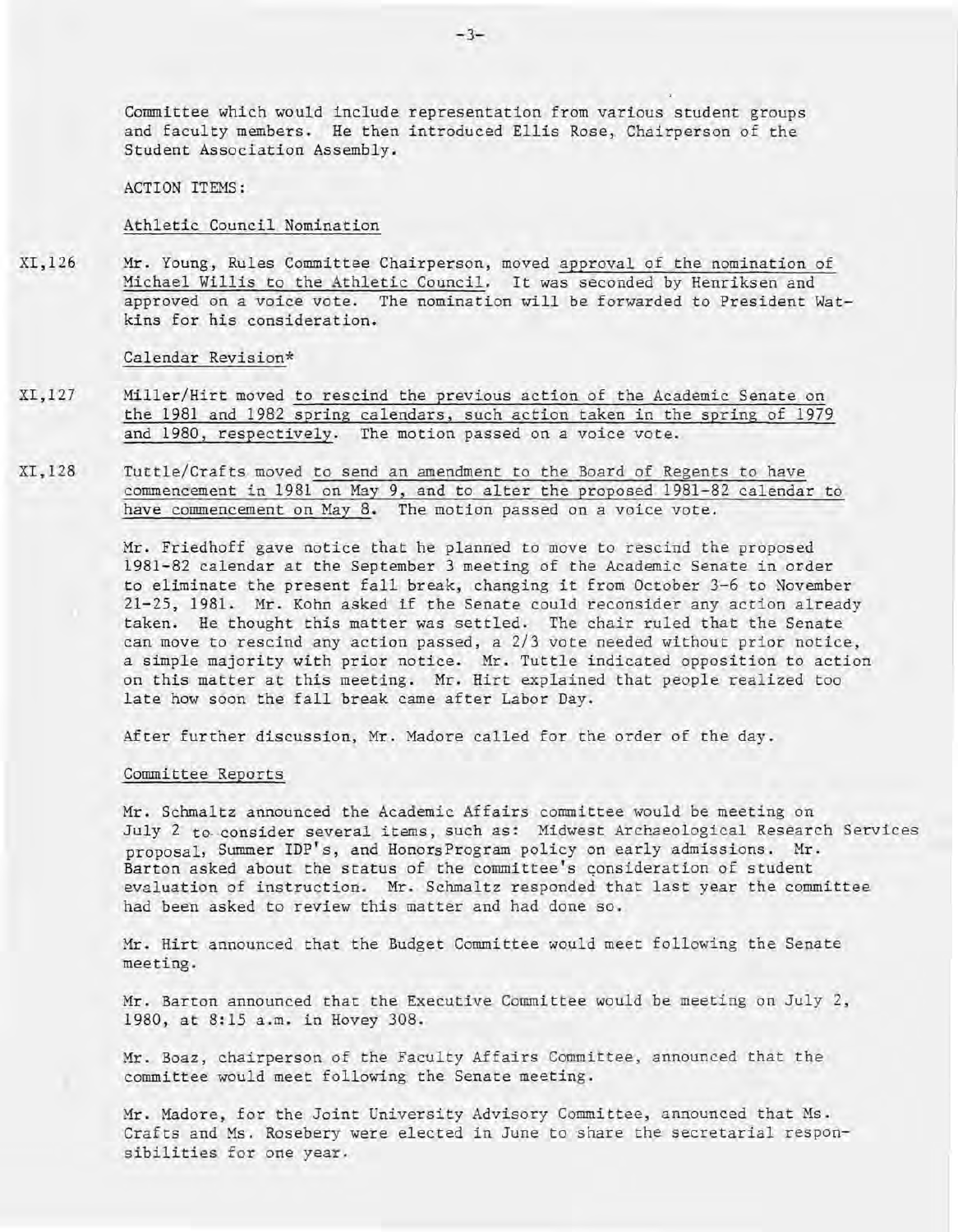Committee which would include representation from various student groups and faculty members. He then introduced Ellis Rose, Chairperson of the Student Association Assembly.

ACTION ITEMS:

#### Athletic Council Nomination

XI,126 Mr. Young, Rules Committee Chairperson, moved approval of the nomination of Michael Willis to the Athletic Council. It was seconded by Henriksen and approved on a voice vote. The nomination will be forwarded to President Watkins for his consideration.

#### Calendar Revision\*

- XI,127 Miller/Hirt moved to rescind the previous action of the Academic Senate on the 1981 and 1982 spring calendars, such action taken in the spring of 1979 and 1980, respectively. The motion passed on a voice vote.
- XI,128 Tuttle/Crafts moved to send an amendment to the Board of Regents to have commencement in 1981 on May 9, and to alter the proposed 1981-82 calendar to have commencement on May 8. The motion passed on a voice vote.

Mr. Friedhoff gave notice that he planned to move to rescind the proposed 1981-82 calendar at the September 3 meeting of the Academic Senate in order to eliminate the present fall break, changing it from October 3-6 to November 21-25, 1981. Mr. Kohn asked if the Senate could reconsider any action already taken. He thought this matter was settled. The chair ruled that the Senate can move to rescind any action passed, a 2/3 vote needed without prior notice, a simple majority with prior notice. Mr. Tuttle indicated opposition to action on this matter at this meeting. Mr. Hirt explained that people realized too late how soon the fall break came after Labor Day.

After further discussion, Mr. Madore called for the order of the day.

#### Committee Reports

Mr. Schmaltz announced the Academic Affairs committee would be meeting on July 2 to consider several items, such as: Midwest Archaeological Research Services proposal, Summer IDP's, and HonorsProgram policy on early admissions. Mr. Barton asked about the status of the committee's consideration of student evaluation of instruction. Mr. Schmaltz responded that last year the committee had been asked to review this matter and had done so.

Mr. Hirt announced that the Budget Committee would meet following the Senate meeting.

Mr. Barton announced that the Executive Committee would be meeting on July 2, 1980, at 8:15 a.m. in Hovey 308.

Mr. Boaz, chairperson of the Faculty Affairs Committee, announced that the committee would meet following the Senate meeting.

Mr. Madore, for the Joint University Advisory Committee, announced that Ms. Crafts and Ms. Rosebery were elected in June to share the secretarial responsibilities for one year.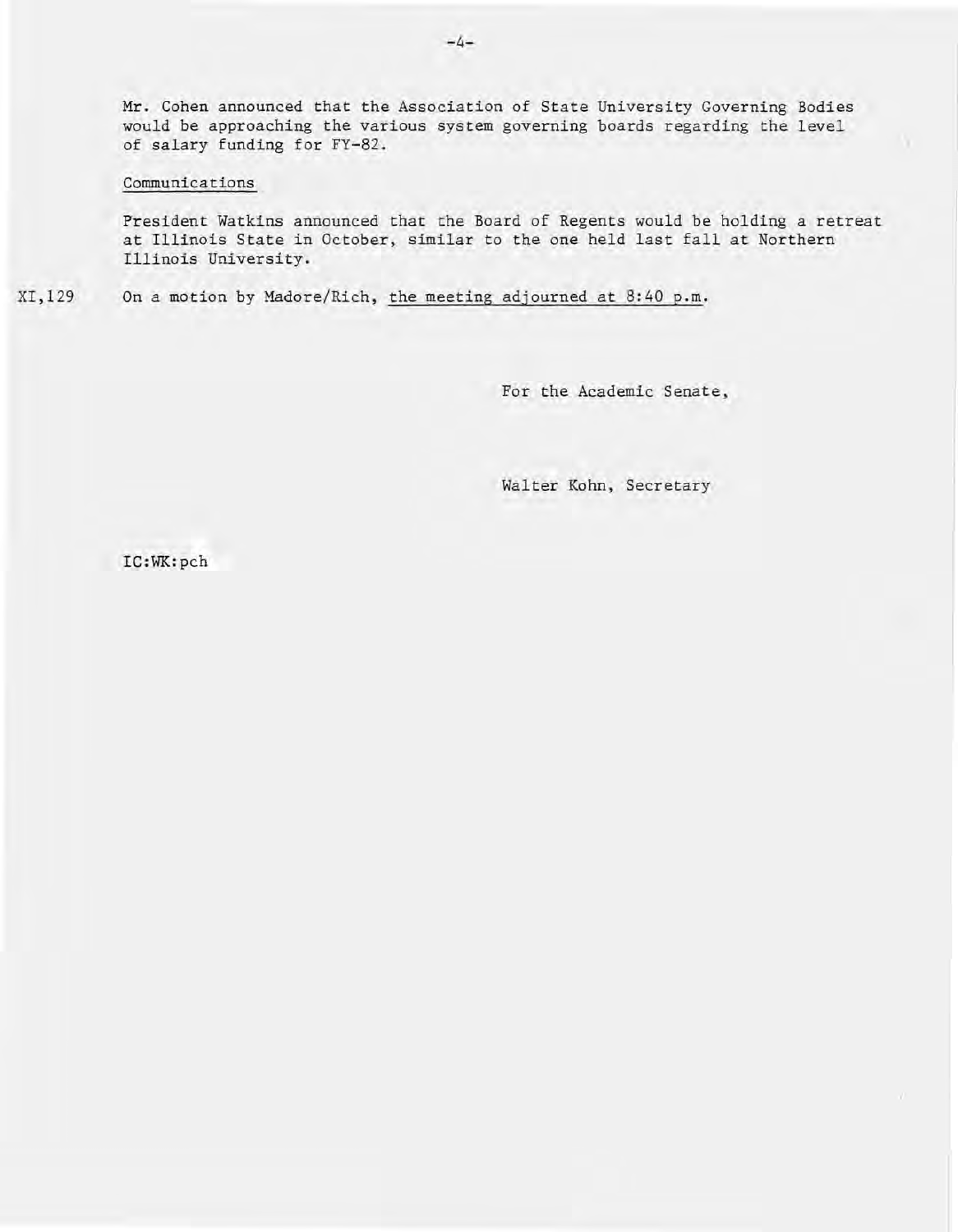Mr. Cohen announced that the Association of State University Governing Bodies would be approaching the various system governing boards regarding the level of salary funding for FY-82.

#### Communications

President Watkins announced that the Board of Regents would be holding a retreat at Illinois State in October, similar to the one held last fall at Northern Illinois University.

XI,129 On a motion by Madore/Rich, the meeting adjourned at 8:40 p.m.

For the Academic Senate,

Walter Kohn, Secretary

IC:WK:pch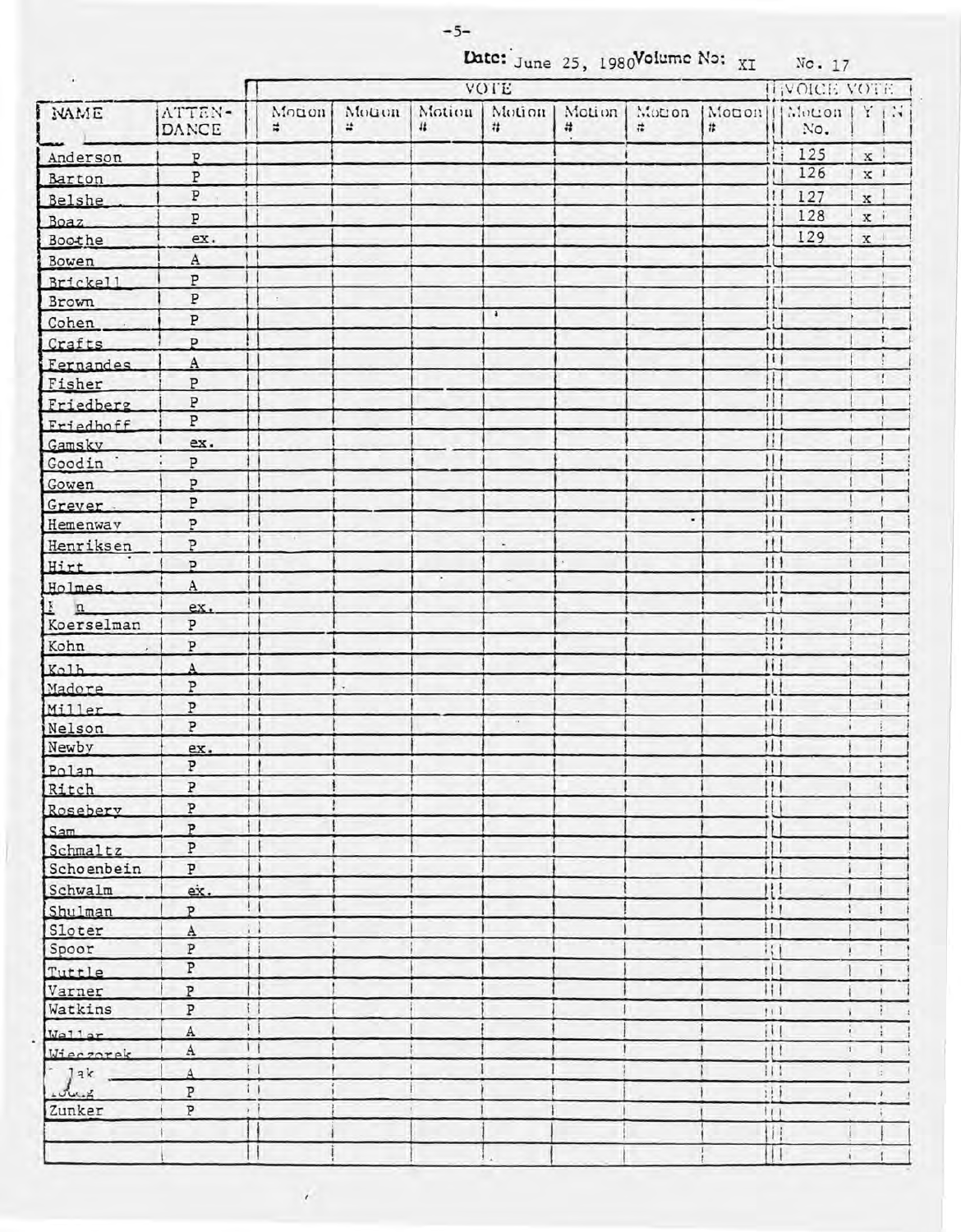Date: June 25, 1980Volume No: XI

No. 17

| $\bullet$         |                         |                             | VOTE           |                          |                  |             |                      |                              |                         |     | HIVOICE VOTE   |                      |  |  |
|-------------------|-------------------------|-----------------------------|----------------|--------------------------|------------------|-------------|----------------------|------------------------------|-------------------------|-----|----------------|----------------------|--|--|
| NAME              | ATTEN-<br>DANCE         | Monon<br>#                  | Mouon  <br>it. | Motion<br>11             | Motion<br>#      | Motion<br># | Motion<br>$\ddot{x}$ | Monon    Motion   Y   N<br># |                         | No. |                |                      |  |  |
| Anderson          | P                       |                             |                |                          |                  |             |                      |                              | Ħ                       | 125 | x :            |                      |  |  |
| Barton            | P                       |                             |                |                          |                  |             |                      |                              |                         | 126 | $\mathbf{x}$ : |                      |  |  |
| Belshe            | P                       |                             |                |                          |                  |             |                      |                              | $\mathbf{t}$            | 127 | $\mathbf{x}$   |                      |  |  |
| Boaz              | $\, {\bf p}$            |                             |                |                          |                  |             |                      |                              |                         | 128 | $\mathbf{x}$ : |                      |  |  |
| Boothe            | ex.                     | $\left  \cdot \right $      |                |                          |                  |             |                      |                              |                         | 129 | $\mathbf x$    |                      |  |  |
| Bowen             | A                       |                             |                |                          |                  |             |                      |                              |                         |     |                |                      |  |  |
| Brickell          | $\, {\tt P}$            |                             |                |                          |                  |             |                      |                              | 11                      |     |                |                      |  |  |
| Brown             | $\overline{\mathbb{P}}$ |                             |                |                          |                  |             |                      |                              |                         |     |                |                      |  |  |
| Cohen             | $\, {\bf p}$            |                             |                |                          | $\ddot{\bullet}$ |             |                      |                              |                         |     |                |                      |  |  |
| Crafts            | P                       |                             |                |                          |                  |             |                      |                              |                         |     |                | ı                    |  |  |
| Fernandes.        | $\mathbf{A}$            |                             |                |                          |                  |             |                      |                              | $\vert \vert$           |     |                |                      |  |  |
| Fisher            | $\, {\bf p}$            |                             |                |                          |                  |             |                      |                              | Ħ.                      |     |                | $\mathbf{I}$         |  |  |
| Friedberg         | $\, {\bf P}$            |                             |                |                          |                  |             |                      |                              | $\mathbf{1}$            |     |                |                      |  |  |
| Friedhoff         | $\overline{\text{P}}$   |                             |                |                          |                  |             |                      |                              | н                       |     |                |                      |  |  |
| Gamsky            | ex.                     |                             |                |                          |                  |             |                      |                              | П                       |     |                |                      |  |  |
| Goodin ·          | P                       |                             |                |                          |                  |             |                      |                              | Ħ                       |     |                |                      |  |  |
| Gowen             | P                       |                             |                |                          |                  |             |                      |                              | Ħ                       |     |                |                      |  |  |
| Grever.           | P                       |                             |                |                          |                  |             |                      |                              | $\overline{\mathbf{1}}$ |     |                |                      |  |  |
| Hemenway          | $\, {\bf p}$            |                             |                |                          |                  |             | ٠                    |                              | Ħ                       |     |                |                      |  |  |
| Henriksen         | P                       |                             |                |                          | $\sim$           |             |                      |                              | $\mathbf{H}$            |     |                |                      |  |  |
| Hirt              | $\overline{P}$          |                             |                |                          |                  |             |                      |                              | 111                     |     |                |                      |  |  |
| Holmes.           | $\rm A$                 |                             |                | $\mathcal{P}_\mathrm{c}$ |                  |             |                      |                              | $\mathbf{1}$            |     |                |                      |  |  |
| $\underline{k}$ n | ex.                     | Ł                           |                |                          |                  |             |                      |                              | $\frac{1}{1}$           |     |                |                      |  |  |
| Koerselman        | $\, {\bf p}$            |                             |                |                          |                  |             |                      |                              | $\mathbf{1}$            |     |                |                      |  |  |
| Kohn              | $\, {\bf p}$            |                             |                |                          |                  |             |                      |                              |                         |     |                |                      |  |  |
| Kolh              | $\overline{A}$          |                             |                |                          |                  |             |                      |                              | $\mathbf{H}$            |     |                |                      |  |  |
| Madore            | $\overline{\mathbb{P}}$ |                             |                |                          |                  |             |                      |                              | $\mathbf{H}$            |     |                |                      |  |  |
| Miller            | $\, {\tt P}$            |                             |                |                          |                  |             |                      |                              |                         |     |                |                      |  |  |
| Nelson            | $\overline{\mathbf{P}}$ |                             |                |                          | $\alpha$ .       |             |                      |                              | $\frac{1}{2}$           |     |                |                      |  |  |
| Newby             | ex.                     |                             |                |                          |                  |             |                      |                              |                         |     |                |                      |  |  |
| Polan             | P                       | $\frac{1}{2}$               |                |                          |                  |             |                      |                              |                         |     | $1 + 1$        |                      |  |  |
| Ritch             | $\, {\bf P}$            |                             |                |                          |                  |             |                      |                              |                         |     |                | $\ddot{\phantom{a}}$ |  |  |
| Rosebery          | $\, {\tt p}$            |                             |                |                          |                  |             |                      |                              |                         |     |                |                      |  |  |
| Sam               | $\, {\tt P}$            | $\ddagger$                  |                |                          |                  |             |                      |                              |                         |     |                |                      |  |  |
| Schmaltz          | $\, {\tt P}$            |                             |                |                          |                  |             |                      |                              | 111                     |     |                |                      |  |  |
| Schoenbein        | $\overline{\mathbf{P}}$ |                             |                |                          |                  |             |                      |                              | $\overline{11}$         |     |                |                      |  |  |
| Schwalm           | ex.                     | ţ.                          |                |                          |                  |             |                      |                              | $^{\prime\prime}$       |     |                |                      |  |  |
| Shulman           | P                       | $\frac{1}{2}$               |                |                          |                  |             |                      |                              | 1!1                     |     |                | ŧ                    |  |  |
| Sloter            | $\mathbf{A}$            | $\mathcal{L}_{\mathcal{A}}$ |                |                          |                  |             |                      |                              | $\mathbf{H}$            |     |                |                      |  |  |
| Spoor             | Þ                       | L                           |                |                          |                  |             |                      |                              | $\frac{1}{11}$          |     |                |                      |  |  |
| Tuttle            | P                       |                             |                |                          |                  |             |                      |                              | 111                     |     |                | $\mathbf{I}$         |  |  |
| Varner            | P                       |                             |                |                          |                  |             |                      |                              | 111                     |     |                |                      |  |  |
| Watkins           | $\, {\tt P}$            | $\ddot{\mathbf{t}}$         |                |                          |                  |             |                      |                              | 111                     |     |                |                      |  |  |
| Wa11ar            | $\mathbf A$             | $\mathbf{I}$                |                |                          |                  |             |                      |                              |                         |     | è.             | Ť                    |  |  |
| Wieczorak         | A                       | $\mathbf{1}$                |                |                          |                  |             |                      |                              | 111                     |     | T.             |                      |  |  |
| Jak               | $\overline{A}$          | $\frac{1}{2}$               |                |                          |                  |             |                      |                              | 111                     |     | ī.             | a.                   |  |  |
| www.x             | $\overline{\mathbf{P}}$ | 11                          |                |                          |                  |             |                      |                              | 1!1                     |     | $\mathbf{r}$   | $\mathcal Y$         |  |  |
| Zunker            | Þ                       | $\mathcal{F}$ .             |                |                          |                  |             |                      |                              | 111                     |     |                |                      |  |  |
|                   |                         |                             |                |                          |                  |             |                      |                              | Ħ                       |     |                |                      |  |  |
|                   |                         | н                           |                |                          |                  |             |                      |                              |                         |     | $\tilde{t}$    |                      |  |  |

 $\mathcal{L}$